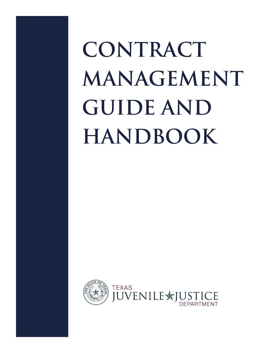**CONTRACT MANAGEMENT GUIDE AND HANDBOOK**

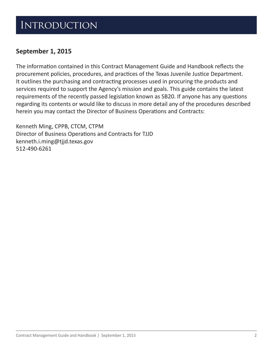#### **INTRODUCTION**

#### **September 1, 2015**

The information contained in this Contract Management Guide and Handbook reflects the procurement policies, procedures, and practices of the Texas Juvenile Justice Department. It outlines the purchasing and contracting processes used in procuring the products and services required to support the Agency's mission and goals. This guide contains the latest requirements of the recently passed legislation known as SB20. If anyone has any questions regarding its contents or would like to discuss in more detail any of the procedures described herein you may contact the Director of Business Operations and Contracts:

Kenneth Ming, CPPB, CTCM, CTPM Director of Business Operations and Contracts for TJJD [kenneth.i.ming@tjjd.texas.gov](mailto:kenneth.i.ming@tjjd.texas.gov) 512-490-6261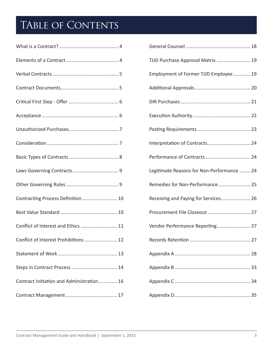## TABLE OF CONTENTS

| Contracting Process Definition  10        |
|-------------------------------------------|
|                                           |
| Conflict of Interest and Ethics  11       |
| Conflict of Interest Prohibitions  12     |
|                                           |
|                                           |
| Contract Initiation and Administration 16 |
|                                           |

| TJJD Purchase Approval Matrix  19          |
|--------------------------------------------|
| Employment of Former TJJD Employee 19      |
|                                            |
|                                            |
|                                            |
|                                            |
| Interpretation of Contracts 24             |
| Performance of Contracts  24               |
| Legitimate Reasons for Non-Performance  24 |
| Remedies for Non-Performance 25            |
| Receiving and Paying for Services 26       |
| Procurement File Closeout 27               |
| Vendor Performance Reporting 27            |
|                                            |
|                                            |
|                                            |
|                                            |
|                                            |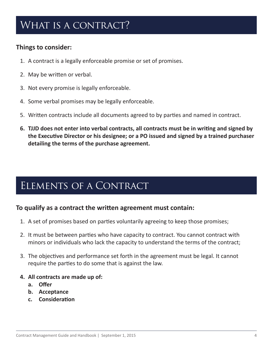### <span id="page-3-0"></span>WHAT IS A CONTRACT?

#### **Things to consider:**

- 1. A contract is a legally enforceable promise or set of promises.
- 2. May be written or verbal.
- 3. Not every promise is legally enforceable.
- 4. Some verbal promises may be legally enforceable.
- 5. Written contracts include all documents agreed to by parties and named in contract.
- **6. TJJD does not enter into verbal contracts, all contracts must be in writing and signed by the Executive Director or his designee; or a PO issued and signed by a trained purchaser detailing the terms of the purchase agreement.**

### Elements of a Contract

#### **To qualify as a contract the written agreement must contain:**

- 1. A set of promises based on parties voluntarily agreeing to keep those promises;
- 2. It must be between parties who have capacity to contract. You cannot contract with minors or individuals who lack the capacity to understand the terms of the contract;
- 3. The objectives and performance set forth in the agreement must be legal. It cannot require the parties to do some that is against the law.
- **4. All contracts are made up of:**
	- **a. Offer**
	- **b. Acceptance**
	- **c. Consideration**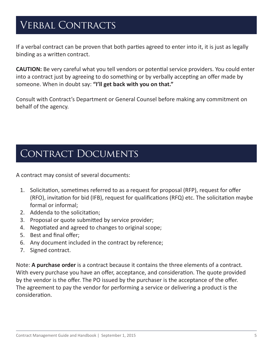### <span id="page-4-0"></span>VERBAL CONTRACTS

If a verbal contract can be proven that both parties agreed to enter into it, it is just as legally binding as a written contract.

**CAUTION:** Be very careful what you tell vendors or potential service providers. You could enter into a contract just by agreeing to do something or by verbally accepting an offer made by someone. When in doubt say: **"I'll get back with you on that."**

Consult with Contract's Department or General Counsel before making any commitment on behalf of the agency.

#### CONTRACT DOCUMENTS

A contract may consist of several documents:

- 1. Solicitation, sometimes referred to as a request for proposal (RFP), request for offer (RFO), invitation for bid (IFB), request for qualifications (RFQ) etc. The solicitation maybe formal or informal;
- 2. Addenda to the solicitation;
- 3. Proposal or quote submitted by service provider;
- 4. Negotiated and agreed to changes to original scope;
- 5. Best and final offer;
- 6. Any document included in the contract by reference;
- 7. Signed contract.

Note: **A purchase order** is a contract because it contains the three elements of a contract. With every purchase you have an offer, acceptance, and consideration. The quote provided by the vendor is the offer. The PO issued by the purchaser is the acceptance of the offer. The agreement to pay the vendor for performing a service or delivering a product is the consideration.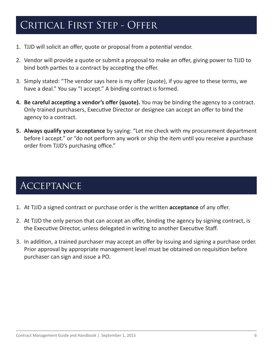### <span id="page-5-0"></span>CRITICAL FIRST STEP - OFFER

- 1. TJJD will solicit an offer, quote or proposal from a potential vendor.
- 2. Vendor will provide a quote or submit a proposal to make an offer, giving power to TJJD to bind both parties to a contract by accepting the offer.
- 3. Simply stated: "The vendor says here is my offer (quote), if you agree to these terms, we have a deal." You say "I accept." A binding contract is formed.
- **4. Be careful accepting a vendor's offer (quote).** You may be binding the agency to a contract. Only trained purchasers, Executive Director or designee can accept an offer to bind the agency to a contract.
- **5. Always qualify your acceptance** by saying: "Let me check with my procurement department before I accept." or "do not perform any work or ship the item until you receive a purchase order from TJJD's purchasing office."

### **ACCEPTANCE**

- 1. At TJJD a signed contract or purchase order is the written **acceptance** of any offer.
- 2. At TJJD the only person that can accept an offer, binding the agency by signing contract, is the Executive Director, unless delegated in writing to another Executive Staff.
- 3. In addition, a trained purchaser may accept an offer by issuing and signing a purchase order. Prior approval by appropriate management level must be obtained on requisition before purchaser can sign and issue a PO.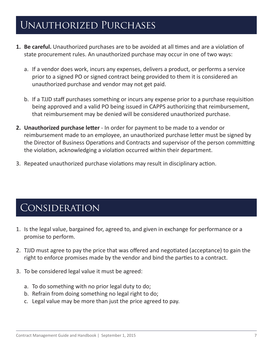#### <span id="page-6-0"></span>Unauthorized Purchases

- **1. Be careful.** Unauthorized purchases are to be avoided at all times and are a violation of state procurement rules. An unauthorized purchase may occur in one of two ways:
	- a. If a vendor does work, incurs any expenses, delivers a product, or performs a service prior to a signed PO or signed contract being provided to them it is considered an unauthorized purchase and vendor may not get paid.
	- b. If a TJJD staff purchases something or incurs any expense prior to a purchase requisition being approved and a valid PO being issued in CAPPS authorizing that reimbursement, that reimbursement may be denied will be considered unauthorized purchase.
- **2. Unauthorized purchase letter**  In order for payment to be made to a vendor or reimbursement made to an employee, an unauthorized purchase letter must be signed by the Director of Business Operations and Contracts and supervisor of the person committing the violation, acknowledging a violation occurred within their department.
- 3. Repeated unauthorized purchase violations may result in disciplinary action.

#### Consideration

- 1. Is the legal value, bargained for, agreed to, and given in exchange for performance or a promise to perform.
- 2. TJJD must agree to pay the price that was offered and negotiated (acceptance) to gain the right to enforce promises made by the vendor and bind the parties to a contract.
- 3. To be considered legal value it must be agreed:
	- a. To do something with no prior legal duty to do;
	- b. Refrain from doing something no legal right to do;
	- c. Legal value may be more than just the price agreed to pay.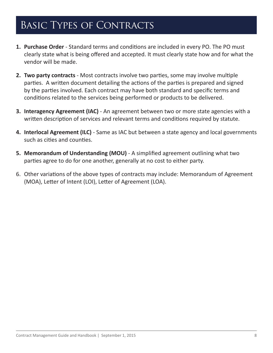### <span id="page-7-0"></span>Basic Types of Contracts

- **1. Purchase Order** Standard terms and conditions are included in every PO. The PO must clearly state what is being offered and accepted. It must clearly state how and for what the vendor will be made.
- **2. Two party contracts** Most contracts involve two parties, some may involve multiple parties. A written document detailing the actions of the parties is prepared and signed by the parties involved. Each contract may have both standard and specific terms and conditions related to the services being performed or products to be delivered.
- **3. Interagency Agreement (IAC)** An agreement between two or more state agencies with a written description of services and relevant terms and conditions required by statute.
- **4. Interlocal Agreement (ILC)** Same as IAC but between a state agency and local governments such as cities and counties.
- **5. Memorandum of Understanding (MOU)** A simplified agreement outlining what two parties agree to do for one another, generally at no cost to either party.
- 6. Other variations of the above types of contracts may include: Memorandum of Agreement (MOA), Letter of Intent (LOI), Letter of Agreement (LOA).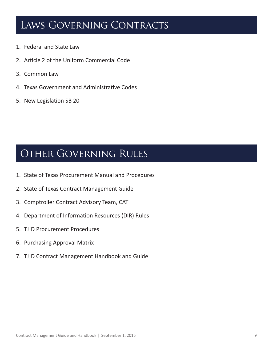### <span id="page-8-0"></span>LAWS GOVERNING CONTRACTS

- 1. Federal and State Law
- 2. Article 2 of the Uniform Commercial Code
- 3. Common Law
- 4. Texas Government and Administrative Codes
- 5. New Legislation SB 20

#### Other Governing Rules

- 1. State of Texas Procurement Manual and Procedures
- 2. State of Texas Contract Management Guide
- 3. Comptroller Contract Advisory Team, CAT
- 4. Department of Information Resources (DIR) Rules
- 5. TJJD Procurement Procedures
- 6. Purchasing Approval Matrix
- 7. TJJD Contract Management Handbook and Guide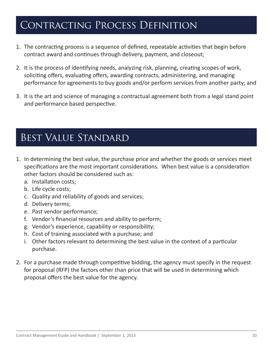#### <span id="page-9-0"></span>Contracting Process Definition

- 1. The contracting process is a sequence of defined, repeatable activities that begin before contract award and continues through delivery, payment, and closeout;
- 2. It is the process of identifying needs, analyzing risk, planning, creating scopes of work, soliciting offers, evaluating offers, awarding contracts, administering, and managing performance for agreements to buy goods and/or perform services from another party; and
- 3. It is the art and science of managing a contractual agreement both from a legal stand point and performance based perspective.

### Best Value Standard

- 1. In determining the best value, the purchase price and whether the goods or services meet specifications are the most important considerations. When best value is a consideration other factors should be considered such as:
	- a. Installation costs;
	- b. Life cycle costs;
	- c. Quality and reliability of goods and services;
	- d. Delivery terms;
	- e. Past vendor performance;
	- f. Vendor's financial resources and ability to perform;
	- g. Vendor's experience, capability or responsibility;
	- h. Cost of training associated with a purchase; and
	- i. Other factors relevant to determining the best value in the context of a particular purchase.
- 2. For a purchase made through competitive bidding, the agency must specify in the request for proposal (RFP) the factors other than price that will be used in determining which proposal offers the best value for the agency.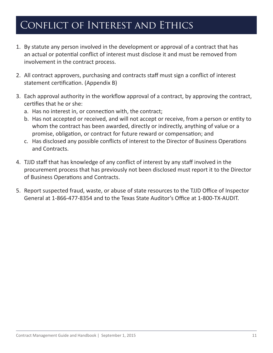### <span id="page-10-0"></span>Conflict of Interest and Ethics

- 1. By statute any person involved in the development or approval of a contract that has an actual or potential conflict of interest must disclose it and must be removed from involvement in the contract process.
- 2. All contract approvers, purchasing and contracts staff must sign a conflict of interest statement certification. (Appendix B)
- 3. Each approval authority in the workflow approval of a contract, by approving the contract, certifies that he or she:
	- a. Has no interest in, or connection with, the contract;
	- b. Has not accepted or received, and will not accept or receive, from a person or entity to whom the contract has been awarded, directly or indirectly, anything of value or a promise, obligation, or contract for future reward or compensation; and
	- c. Has disclosed any possible conflicts of interest to the Director of Business Operations and Contracts.
- 4. TJJD staff that has knowledge of any conflict of interest by any staff involved in the procurement process that has previously not been disclosed must report it to the Director of Business Operations and Contracts.
- 5. Report suspected fraud, waste, or abuse of state resources to the TJJD Office of Inspector General at 1-866-477-8354 and to the Texas State Auditor's Office at 1-800-TX-AUDIT.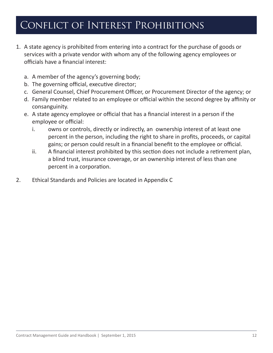### <span id="page-11-0"></span>Conflict of Interest Prohibitions

- 1. A state agency is prohibited from entering into a contract for the purchase of goods or services with a private vendor with whom any of the following agency employees or officials have a financial interest:
	- a. A member of the agency's governing body;
	- b. The governing official, executive director;
	- c. General Counsel, Chief Procurement Officer, or Procurement Director of the agency; or
	- d. Family member related to an employee or official within the second degree by affinity or consanguinity.
	- e. A state agency employee or official that has a financial interest in a person if the employee or official:
		- i. owns or controls, directly or indirectly, an ownership interest of at least one percent in the person, including the right to share in profits, proceeds, or capital gains; or person could result in a financial benefit to the employee or official.
		- ii. A financial interest prohibited by this section does not include a retirement plan, a blind trust, insurance coverage, or an ownership interest of less than one percent in a corporation.
- 2. Ethical Standards and Policies are located in Appendix C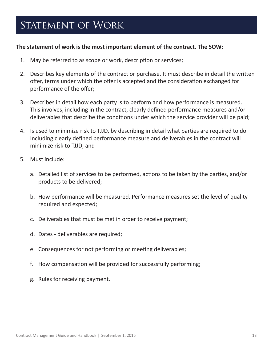### <span id="page-12-0"></span>STATEMENT OF WORK

#### **The statement of work is the most important element of the contract. The SOW:**

- 1. May be referred to as scope or work, description or services;
- 2. Describes key elements of the contract or purchase. It must describe in detail the written offer, terms under which the offer is accepted and the consideration exchanged for performance of the offer;
- 3. Describes in detail how each party is to perform and how performance is measured. This involves, including in the contract, clearly defined performance measures and/or deliverables that describe the conditions under which the service provider will be paid;
- 4. Is used to minimize risk to TJJD, by describing in detail what parties are required to do. Including clearly defined performance measure and deliverables in the contract will minimize risk to TJJD; and
- 5. Must include:
	- a. Detailed list of services to be performed, actions to be taken by the parties, and/or products to be delivered;
	- b. How performance will be measured. Performance measures set the level of quality required and expected;
	- c. Deliverables that must be met in order to receive payment;
	- d. Dates deliverables are required;
	- e. Consequences for not performing or meeting deliverables;
	- f. How compensation will be provided for successfully performing;
	- g. Rules for receiving payment.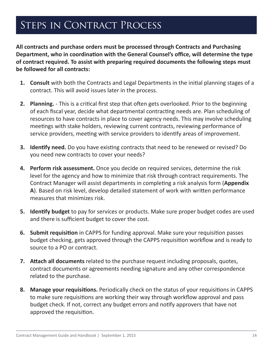### <span id="page-13-0"></span>STEPS IN CONTRACT PROCESS

**All contracts and purchase orders must be processed through Contracts and Purchasing Department, who in coordination with the General Counsel's office, will determine the type of contract required. To assist with preparing required documents the following steps must be followed for all contracts:**

- **1. Consult** with both the Contracts and Legal Departments in the initial planning stages of a contract. This will avoid issues later in the process.
- **2. Planning.** This is a critical first step that often gets overlooked. Prior to the beginning of each fiscal year, decide what departmental contracting needs are. Plan scheduling of resources to have contracts in place to cover agency needs. This may involve scheduling meetings with stake holders, reviewing current contracts, reviewing performance of service providers, meeting with service providers to identify areas of improvement.
- **3. Identify need.** Do you have existing contracts that need to be renewed or revised? Do you need new contracts to cover your needs?
- **4. Perform risk assessment.** Once you decide on required services, determine the risk level for the agency and how to minimize that risk through contract requirements. The Contract Manager will assist departments in completing a risk analysis form (**Appendix A**). Based on risk level, develop detailed statement of work with written performance measures that minimizes risk.
- **5. Identify budget** to pay for services or products. Make sure proper budget codes are used and there is sufficient budget to cover the cost.
- **6. Submit requisition** in CAPPS for funding approval. Make sure your requisition passes budget checking, gets approved through the CAPPS requisition workflow and is ready to source to a PO or contract.
- **7. Attach all documents** related to the purchase request including proposals, quotes, contract documents or agreements needing signature and any other correspondence related to the purchase.
- **8. Manage your requisitions.** Periodically check on the status of your requisitions in CAPPS to make sure requisitions are working their way through workflow approval and pass budget check. If not, correct any budget errors and notify approvers that have not approved the requisition.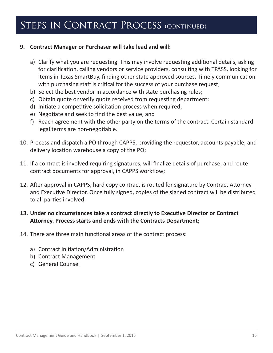### STEPS IN CONTRACT PROCESS (CONTINUED)

#### **9. Contract Manager or Purchaser will take lead and will:**

- a) Clarify what you are requesting. This may involve requesting additional details, asking for clarification, calling vendors or service providers, consulting with TPASS, looking for items in Texas SmartBuy, finding other state approved sources. Timely communication with purchasing staff is critical for the success of your purchase request;
- b) Select the best vendor in accordance with state purchasing rules;
- c) Obtain quote or verify quote received from requesting department;
- d) Initiate a competitive solicitation process when required;
- e) Negotiate and seek to find the best value; and
- f) Reach agreement with the other party on the terms of the contract. Certain standard legal terms are non-negotiable.
- 10. Process and dispatch a PO through CAPPS, providing the requestor, accounts payable, and delivery location warehouse a copy of the PO;
- 11. If a contract is involved requiring signatures, will finalize details of purchase, and route contract documents for approval, in CAPPS workflow;
- 12. After approval in CAPPS, hard copy contract is routed for signature by Contract Attorney and Executive Director. Once fully signed, copies of the signed contract will be distributed to all parties involved;

#### **13. Under no circumstances take a contract directly to Executive Director or Contract Attorney. Process starts and ends with the Contracts Department;**

- 14. There are three main functional areas of the contract process:
	- a) Contract Initiation/Administration
	- b) Contract Management
	- c) General Counsel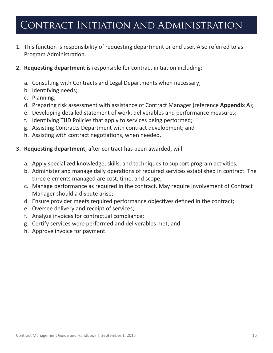### <span id="page-15-0"></span>Contract Initiation and Administration

- 1. This function is responsibility of requesting department or end user. Also referred to as Program Administration.
- **2. Requesting department is** responsible for contract initiation including:
	- a. Consulting with Contracts and Legal Departments when necessary;
	- b. Identifying needs;
	- c. Planning;
	- d. Preparing risk assessment with assistance of Contract Manager (reference **Appendix A**);
	- e. Developing detailed statement of work, deliverables and performance measures;
	- f. Identifying TJJD Policies that apply to services being performed;
	- g. Assisting Contracts Department with contract development; and
	- h. Assisting with contract negotiations, when needed.
- **3. Requesting department,** after contract has been awarded, will:
	- a. Apply specialized knowledge, skills, and techniques to support program activities;
	- b. Administer and manage daily operations of required services established in contract. The three elements managed are cost, time, and scope;
	- c. Manage performance as required in the contract. May require involvement of Contract Manager should a dispute arise;
	- d. Ensure provider meets required performance objectives defined in the contract;
	- e. Oversee delivery and receipt of services;
	- f. Analyze invoices for contractual compliance;
	- g. Certify services were performed and deliverables met; and
	- h. Approve invoice for payment.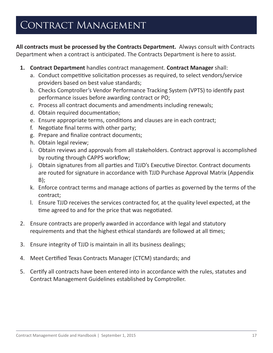### <span id="page-16-0"></span>CONTRACT MANAGEMENT

**All contracts must be processed by the Contracts Department.** Always consult with Contracts Department when a contract is anticipated. The Contracts Department is here to assist.

- **1. Contract Department** handles contract management. **Contract Manager** shall:
	- a. Conduct competitive solicitation processes as required, to select vendors/service providers based on best value standards;
	- b. Checks Comptroller's Vendor Performance Tracking System (VPTS) to identify past performance issues before awarding contract or PO;
	- c. Process all contract documents and amendments including renewals;
	- d. Obtain required documentation;
	- e. Ensure appropriate terms, conditions and clauses are in each contract;
	- f. Negotiate final terms with other party;
	- g. Prepare and finalize contract documents;
	- h. Obtain legal review;
	- i. Obtain reviews and approvals from all stakeholders. Contract approval is accomplished by routing through CAPPS workflow;
	- j. Obtain signatures from all parties and TJJD's Executive Director. Contract documents are routed for signature in accordance with TJJD Purchase Approval Matrix (Appendix B);
	- k. Enforce contract terms and manage actions of parties as governed by the terms of the contract;
	- l. Ensure TJJD receives the services contracted for, at the quality level expected, at the time agreed to and for the price that was negotiated.
- 2. Ensure contracts are properly awarded in accordance with legal and statutory requirements and that the highest ethical standards are followed at all times;
- 3. Ensure integrity of TJJD is maintain in all its business dealings;
- 4. Meet Certified Texas Contracts Manager (CTCM) standards; and
- 5. Certify all contracts have been entered into in accordance with the rules, statutes and Contract Management Guidelines established by Comptroller.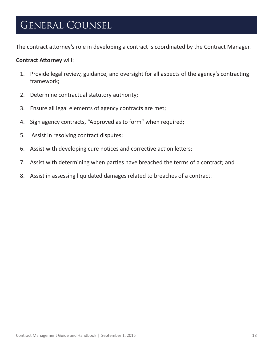#### <span id="page-17-0"></span>General Counsel

The contract attorney's role in developing a contract is coordinated by the Contract Manager.

#### **Contract Attorney** will:

- 1. Provide legal review, guidance, and oversight for all aspects of the agency's contracting framework;
- 2. Determine contractual statutory authority;
- 3. Ensure all legal elements of agency contracts are met;
- 4. Sign agency contracts, "Approved as to form" when required;
- 5. Assist in resolving contract disputes;
- 6. Assist with developing cure notices and corrective action letters;
- 7. Assist with determining when parties have breached the terms of a contract; and
- 8. Assist in assessing liquidated damages related to breaches of a contract.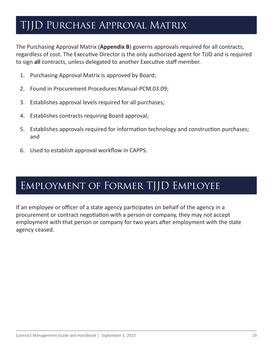### <span id="page-18-0"></span>TJJD Purchase Approval Matrix

The Purchasing Approval Matrix (**Appendix B**) governs approvals required for all contracts, regardless of cost. The Executive Director is the only authorized agent for TJJD and is required to sign **all** contracts, unless delegated to another Executive staff member.

- 1. Purchasing Approval Matrix is approved by Board;
- 2. Found in Procurement Procedures Manual-PCM.03.09;
- 3. Establishes approval levels required for all purchases;
- 4. Establishes contracts requiring Board approval;
- 5. Establishes approvals required for information technology and construction purchases; and
- 6. Used to establish approval workflow in CAPPS.

### Employment of Former TJJD Employee

If an employee or officer of a state agency participates on behalf of the agency in a procurement or contract negotiation with a person or company, they may not accept employment with that person or company for two years after employment with the state agency ceased.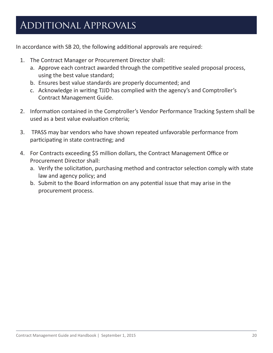### <span id="page-19-0"></span>Additional Approvals

In accordance with SB 20, the following additional approvals are required:

- 1. The Contract Manager or Procurement Director shall:
	- a. Approve each contract awarded through the competitive sealed proposal process, using the best value standard;
	- b. Ensures best value standards are properly documented; and
	- c. Acknowledge in writing TJJD has complied with the agency's and Comptroller's Contract Management Guide.
- 2. Information contained in the Comptroller's Vendor Performance Tracking System shall be used as a best value evaluation criteria;
- 3. TPASS may bar vendors who have shown repeated unfavorable performance from participating in state contracting; and
- 4. For Contracts exceeding \$5 million dollars, the Contract Management Office or Procurement Director shall:
	- a. Verify the solicitation, purchasing method and contractor selection comply with state law and agency policy; and
	- b. Submit to the Board information on any potential issue that may arise in the procurement process.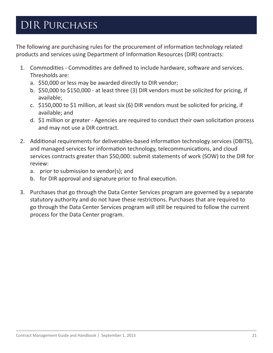### <span id="page-20-0"></span>DIR Purchases

The following are purchasing rules for the procurement of information technology related products and services using Department of Information Resources (DIR) contracts:

- 1. Commodities Commodities are defined to include hardware, software and services. Thresholds are:
	- a. \$50,000 or less may be awarded directly to DIR vendor;
	- b. \$50,000 to \$150,000 at least three (3) DIR vendors must be solicited for pricing, if available;
	- c. \$150,000 to \$1 million, at least six (6) DIR vendors must be solicited for pricing, if available; and
	- d. \$1 million or greater Agencies are required to conduct their own solicitation process and may not use a DIR contract.
- 2. Additional requirements for deliverables-based information technology services (DBITS), and managed services for information technology, telecommunications, and cloud services contracts greater than \$50,000: submit statements of work (SOW) to the DIR for review:
	- a. prior to submission to vendor(s); and
	- b. for DIR approval and signature prior to final execution.
- 3. Purchases that go through the Data Center Services program are governed by a separate statutory authority and do not have these restrictions. Purchases that are required to go through the Data Center Services program will still be required to follow the current process for the Data Center program.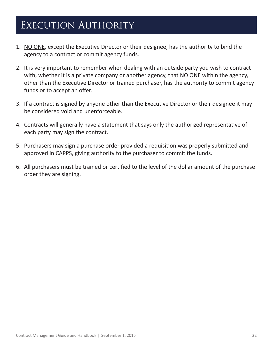## <span id="page-21-0"></span>EXECUTION AUTHORITY

- 1. NO ONE, except the Executive Director or their designee, has the authority to bind the agency to a contract or commit agency funds.
- 2. It is very important to remember when dealing with an outside party you wish to contract with, whether it is a private company or another agency, that NO ONE within the agency, other than the Executive Director or trained purchaser, has the authority to commit agency funds or to accept an offer.
- 3. If a contract is signed by anyone other than the Executive Director or their designee it may be considered void and unenforceable.
- 4. Contracts will generally have a statement that says only the authorized representative of each party may sign the contract.
- 5. Purchasers may sign a purchase order provided a requisition was properly submitted and approved in CAPPS, giving authority to the purchaser to commit the funds.
- 6. All purchasers must be trained or certified to the level of the dollar amount of the purchase order they are signing.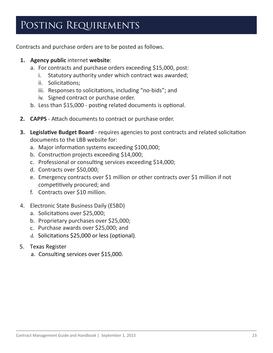### <span id="page-22-0"></span>POSTING REQUIREMENTS

Contracts and purchase orders are to be posted as follows.

- **1. Agency public** internet **website**:
	- a. For contracts and purchase orders exceeding \$15,000, post:
		- i. Statutory authority under which contract was awarded;
		- ii. Solicitations;
		- iii. Responses to solicitations, including "no-bids"; and
		- iv. Signed contract or purchase order.
	- b. Less than \$15,000 posting related documents is optional.
- **2. CAPPS** Attach documents to contract or purchase order.
- **3. Legislative Budget Board** requires agencies to post contracts and related solicitation documents to the LBB website for:
	- a. Major information systems exceeding \$100,000;
	- b. Construction projects exceeding \$14,000;
	- c. Professional or consulting services exceeding \$14,000;
	- d. Contracts over \$50,000;
	- e. Emergency contracts over \$1 million or other contracts over \$1 million if not competitively procured; and
	- f. Contracts over \$10 million.
- 4. Electronic State Business Daily (ESBD)
	- a. Solicitations over \$25,000;
	- b. Proprietary purchases over \$25,000;
	- c. Purchase awards over \$25,000; and
	- d. Solicitations \$25,000 or less (optional).
- 5. Texas Register
	- a. Consulting services over \$15,000.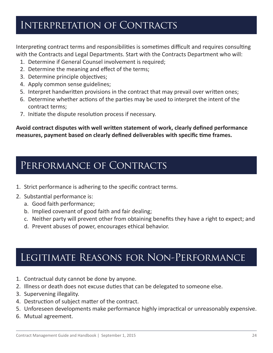#### <span id="page-23-0"></span>Interpretation of Contracts

Interpreting contract terms and responsibilities is sometimes difficult and requires consulting with the Contracts and Legal Departments. Start with the Contracts Department who will:

- 1. Determine if General Counsel involvement is required;
- 2. Determine the meaning and effect of the terms;
- 3. Determine principle objectives;
- 4. Apply common sense guidelines;
- 5. Interpret handwritten provisions in the contract that may prevail over written ones;
- 6. Determine whether actions of the parties may be used to interpret the intent of the contract terms;
- 7. Initiate the dispute resolution process if necessary.

**Avoid contract disputes with well written statement of work, clearly defined performance measures, payment based on clearly defined deliverables with specific time frames.** 

#### PERFORMANCE OF CONTRACTS

- 1. Strict performance is adhering to the specific contract terms.
- 2. Substantial performance is:
	- a. Good faith performance;
	- b. Implied covenant of good faith and fair dealing;
	- c. Neither party will prevent other from obtaining benefits they have a right to expect; and
	- d. Prevent abuses of power, encourages ethical behavior.

#### Legitimate Reasons for Non-Performance

- 1. Contractual duty cannot be done by anyone.
- 2. Illness or death does not excuse duties that can be delegated to someone else.
- 3. Supervening illegality.
- 4. Destruction of subject matter of the contract.
- 5. Unforeseen developments make performance highly impractical or unreasonably expensive.
- 6. Mutual agreement.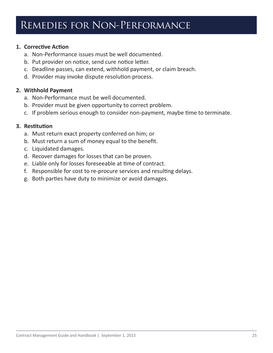#### <span id="page-24-0"></span>Remedies for Non-Performance

#### **1. Corrective Action**

- a. Non-Performance issues must be well documented.
- b. Put provider on notice, send cure notice letter.
- c. Deadline passes, can extend, withhold payment, or claim breach.
- d. Provider may invoke dispute resolution process.

#### **2. Withhold Payment**

- a. Non-Performance must be well documented.
- b. Provider must be given opportunity to correct problem.
- c. If problem serious enough to consider non-payment, maybe time to terminate.

#### **3. Restitution**

- a. Must return exact property conferred on him; or
- b. Must return a sum of money equal to the benefit.
- c. Liquidated damages.
- d. Recover damages for losses that can be proven.
- e. Liable only for losses foreseeable at time of contract.
- f. Responsible for cost to re-procure services and resulting delays.
- g. Both parties have duty to minimize or avoid damages.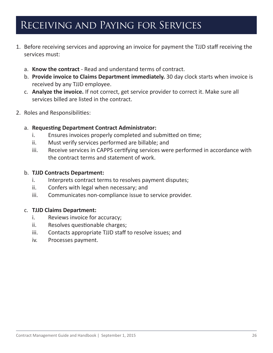### <span id="page-25-0"></span>Receiving and Paying for Services

- 1. Before receiving services and approving an invoice for payment the TJJD staff receiving the services must:
	- a. **Know the contract** Read and understand terms of contract.
	- b. **Provide invoice to Claims Department immediately.** 30 day clock starts when invoice is received by any TJJD employee.
	- c. **Analyze the invoice.** If not correct, get service provider to correct it. Make sure all services billed are listed in the contract.
- 2. Roles and Responsibilities:

#### a. **Requesting Department Contract Administrator:**

- i. Ensures invoices properly completed and submitted on time;
- ii. Must verify services performed are billable; and
- iii. Receive services in CAPPS certifying services were performed in accordance with the contract terms and statement of work.

#### b. **TJJD Contracts Department:**

- i. Interprets contract terms to resolves payment disputes;
- ii. Confers with legal when necessary; and
- iii. Communicates non-compliance issue to service provider.

#### c. **TJJD Claims Department:**

- i. Reviews invoice for accuracy;
- ii. Resolves questionable charges;
- iii. Contacts appropriate TJJD staff to resolve issues; and
- iv. Processes payment.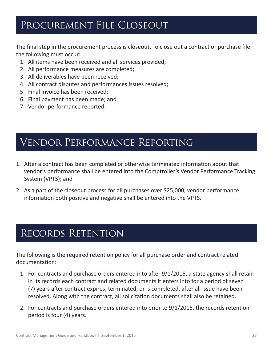### <span id="page-26-0"></span>Procurement File Closeout

The final step in the procurement process is closeout. To close out a contract or purchase file the following must occur:

- 1. All items have been received and all services provided;
- 2. All performance measures are completed;
- 3. All deliverables have been received;
- 4. All contract disputes and performances issues resolved;
- 5. Final invoice has been received;
- 6. Final payment has been made; and
- 7. Vendor performance reported.

#### Vendor Performance Reporting

- 1. After a contract has been completed or otherwise terminated information about that vendor's performance shall be entered into the Comptroller's Vendor Performance Tracking System (VPTS); and
- 2. As a part of the closeout process for all purchases over \$25,000, vendor performance information both positive and negative shall be entered into the VPTS.

### Records Retention

The following is the required retention policy for all purchase order and contract related documentation:

- 1. For contracts and purchase orders entered into after 9/1/2015, a state agency shall retain in its records each contract and related documents it enters into for a period of seven (7) years after contract expires, terminated, or is completed, after all issue have been resolved. Along with the contract, all solicitation documents shall also be retained.
- 2. For contracts and purchase orders entered into prior to 9/1/2015, the records retention period is four (4) years.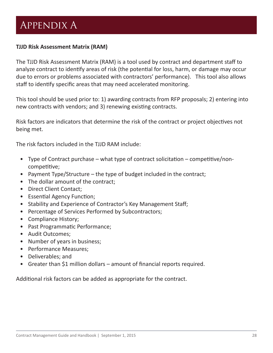## <span id="page-27-0"></span>Appendix A

#### **TJJD Risk Assessment Matrix (RAM)**

The TJJD Risk Assessment Matrix (RAM) is a tool used by contract and department staff to analyze contract to identify areas of risk (the potential for loss, harm, or damage may occur due to errors or problems associated with contractors' performance). This tool also allows staff to identify specific areas that may need accelerated monitoring.

This tool should be used prior to: 1) awarding contracts from RFP proposals; 2) entering into new contracts with vendors; and 3) renewing existing contracts.

Risk factors are indicators that determine the risk of the contract or project objectives not being met.

The risk factors included in the TJJD RAM include:

- Type of Contract purchase what type of contract solicitation competitive/noncompetitive;
- Payment Type/Structure the type of budget included in the contract;
- The dollar amount of the contract;
- Direct Client Contact;
- Essential Agency Function;
- Stability and Experience of Contractor's Key Management Staff;
- Percentage of Services Performed by Subcontractors;
- Compliance History;
- Past Programmatic Performance;
- Audit Outcomes;
- Number of years in business;
- Performance Measures;
- Deliverables; and
- Greater than \$1 million dollars amount of financial reports required.

Additional risk factors can be added as appropriate for the contract.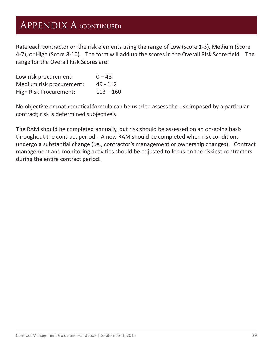### Appendix A (continued)

Rate each contractor on the risk elements using the range of Low (score 1-3), Medium (Score 4-7), or High (Score 8-10). The form will add up the scores in the Overall Risk Score field. The range for the Overall Risk Scores are:

| Low risk procurement:         | $0 - 48$    |
|-------------------------------|-------------|
| Medium risk procurement:      | $49 - 112$  |
| <b>High Risk Procurement:</b> | $113 - 160$ |

No objective or mathematical formula can be used to assess the risk imposed by a particular contract; risk is determined subjectively.

The RAM should be completed annually, but risk should be assessed on an on-going basis throughout the contract period. A new RAM should be completed when risk conditions undergo a substantial change (i.e., contractor's management or ownership changes). Contract management and monitoring activities should be adjusted to focus on the riskiest contractors during the entire contract period.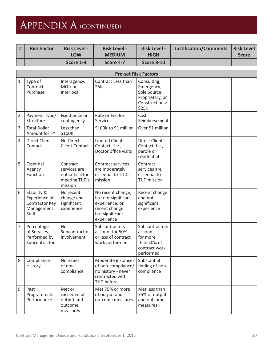## Appendix A (continued)

| <b>Risk Factor</b> | <b>Risk Level -</b><br><b>LOW</b> | <b>Risk Level -</b><br><b>MEDIUM</b> | <b>Risk Level -</b><br><b>HIGH</b> | Justification/Comments | Risk Level<br><b>Score</b> |
|--------------------|-----------------------------------|--------------------------------------|------------------------------------|------------------------|----------------------------|
|                    | Score 1-3                         | Score 4-7                            | Score 8-10                         |                        |                            |

|                | <b>Pre-set Risk Factors</b>                                                  |                                                                           |                                                                                                              |                                                                                         |  |  |  |  |  |  |  |
|----------------|------------------------------------------------------------------------------|---------------------------------------------------------------------------|--------------------------------------------------------------------------------------------------------------|-----------------------------------------------------------------------------------------|--|--|--|--|--|--|--|
| 1              | Type of<br>Contract<br>Purchase                                              | Interagency,<br>MOU or<br>Interlocal                                      | Contract Less than<br>25K                                                                                    | Consulting,<br>Emergency,<br>Sole Source,<br>Proprietary, or<br>Construction ><br>\$25K |  |  |  |  |  |  |  |
| $\overline{2}$ | Payment Type/<br>Structure                                                   | Fixed price or<br>contingency                                             | Rate or Fee for<br><b>Services</b>                                                                           | Cost<br>Reimbursement                                                                   |  |  |  |  |  |  |  |
| 3              | <b>Total Dollar</b><br>Amount for FY                                         | Less than<br>\$100K                                                       | \$100K to \$1 million                                                                                        | Over \$1 million                                                                        |  |  |  |  |  |  |  |
| $\overline{4}$ | <b>Direct Client</b><br>Contact                                              | No Direct<br><b>Client Contact</b>                                        | <b>Limited Client</b><br>Contact - i.e.,<br>Doctor office visits                                             | <b>Direct Client</b><br>Contact; i.e.,<br>parole or<br>residential                      |  |  |  |  |  |  |  |
| 5              | Essential<br>Agency<br>Function                                              | Contract<br>services are<br>not critical for<br>meeting TJJD's<br>mission | Contract services<br>are moderately<br>essential to TJJD's<br>mission                                        | Contract<br>services are<br>essential to<br><b>TJJD</b> mission                         |  |  |  |  |  |  |  |
| 6              | Stability &<br>Experience of<br>Contractor Key<br>Management<br><b>Staff</b> | No recent<br>change and<br>significant<br>experience                      | No recent change,<br>but not significant<br>experience; or<br>recent change<br>but significant<br>experience | Recent change<br>and not<br>significant<br>experience                                   |  |  |  |  |  |  |  |
| $\overline{7}$ | Percentage<br>of Services<br>Performed by<br>Subcontractors                  | <b>No</b><br>Subcontractor<br>involvement                                 | <b>Subcontractors</b><br>account for 50%<br>or less of contract<br>work performed                            | Subcontractors<br>account<br>for more<br>than 50% of<br>contract work<br>performed      |  |  |  |  |  |  |  |
| 8              | Compliance<br>History                                                        | No issues<br>of non-<br>compliance                                        | Moderate instances<br>of non-compliance/<br>no history - never<br>contracted with<br>TJJD before             | Substantial<br>finding of non-<br>compliance                                            |  |  |  |  |  |  |  |
| $9\,$          | Past<br>Programmatic<br>Performance                                          | Met or<br>exceeded all<br>output and<br>outcome<br>measures               | Met 75% or more<br>of output and<br>outcome measures                                                         | Met less than<br>75% of output<br>and outcome<br>measures                               |  |  |  |  |  |  |  |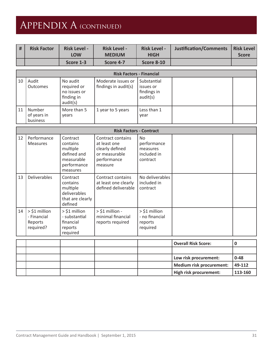# Appendix A (continued)

| # | <b>Risk Factor</b> | <b>Risk Level -</b><br><b>LOW</b> | <b>Risk Level -</b><br><b>MEDIUM</b> | <b>Risk Level -</b><br><b>HIGH</b> | Justification/Comments | Risk Level<br><b>Score</b> |
|---|--------------------|-----------------------------------|--------------------------------------|------------------------------------|------------------------|----------------------------|
|   |                    | Score 1-3                         | Score 4-7                            | <b>Score 8-10</b>                  |                        |                            |

|    | <b>Risk Factors - Financial</b>   |                                                                   |                                            |                                                     |  |  |  |  |  |  |  |
|----|-----------------------------------|-------------------------------------------------------------------|--------------------------------------------|-----------------------------------------------------|--|--|--|--|--|--|--|
| 10 | Audit<br><b>Outcomes</b>          | No audit<br>required or<br>no issues or<br>finding in<br>audit(s) | Moderate issues or<br>findings in audit(s) | Substantial<br>issues or<br>findings in<br>audit(s) |  |  |  |  |  |  |  |
| 11 | Number<br>of years in<br>business | More than 5<br>vears                                              | 1 year to 5 years                          | Less than 1<br>year                                 |  |  |  |  |  |  |  |

|    | <b>Risk Factors - Contract</b>                         |                                                                                          |                                                                                                 |                                                                      |  |  |  |  |  |  |
|----|--------------------------------------------------------|------------------------------------------------------------------------------------------|-------------------------------------------------------------------------------------------------|----------------------------------------------------------------------|--|--|--|--|--|--|
| 12 | Performance<br><b>Measures</b>                         | Contract<br>contains<br>multiple<br>defined and<br>measurable<br>performance<br>measures | Contract contains<br>at least one<br>clearly defined<br>or measurable<br>performance<br>measure | N <sub>o</sub><br>performance<br>measures<br>included in<br>contract |  |  |  |  |  |  |
| 13 | <b>Deliverables</b>                                    | Contract<br>contains<br>multiple<br>deliverables<br>that are clearly<br>defined          | Contract contains<br>at least one clearly<br>defined deliverable                                | No deliverables<br>included in<br>contract                           |  |  |  |  |  |  |
| 14 | $>$ \$1 million<br>- Financial<br>Reports<br>required? | $>$ \$1 million<br>- substantial<br>financial<br>reports<br>required                     | $>$ \$1 million -<br>minimal financial<br>reports required                                      | $>$ \$1 million<br>- no financial<br>reports<br>required             |  |  |  |  |  |  |

|  |  | Overall Risk Score:      |          |
|--|--|--------------------------|----------|
|  |  |                          |          |
|  |  | Low risk procurement:    | $0 - 48$ |
|  |  | Medium risk procurement: | 49-112   |
|  |  | High risk procurement:   | 113-160  |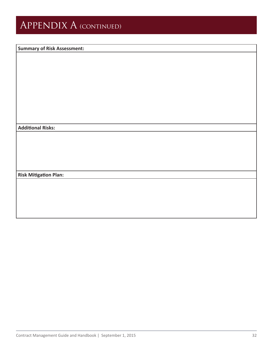## APPENDIX A (CONTINUED)

#### **Summary of Risk Assessment:**

**Additional Risks:**

**Risk Mitigation Plan:**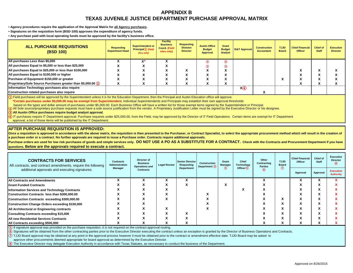#### **APPENDIX B TEXAS JUVENILE JUSTICE DEPARTMENT PURCHASE APPROVAL MATRIX**

<span id="page-32-0"></span>**• Agency procedures require the application of the Approval Matrix for all Agency purchases.** 

**• Signatures on the requisition form (BSD-100) approves the expenditure of agency funds.** 

**• Any purchase paid with local operating funds must be approved by the facility's business office.**

| ALL PURCHASE REQUISITIONS<br>(BSD 100)                        | <b>Requesting</b><br><b>Department Head</b> | Superintendent or<br>$Principle(1)$ (Field<br>sites only) | <b>Facility</b><br><b>Business</b><br><b>Coord (Field</b><br>sites only) | Requesting<br><b>Division</b><br><b>Director</b> | <b>Austin Office</b><br><b>Budget</b><br><b>Approval</b> | Grant<br><b>Budget</b><br>Analyst | <b>IS&amp;T Approval</b> | <b>Construction</b><br><b>Accountant</b> | TJJD<br><b>Board</b> | <b>Chief Financial</b><br><b>Officer</b> | <b>Chief of</b><br><b>Staff</b> | <b>Executive</b><br><b>Director</b> |
|---------------------------------------------------------------|---------------------------------------------|-----------------------------------------------------------|--------------------------------------------------------------------------|--------------------------------------------------|----------------------------------------------------------|-----------------------------------|--------------------------|------------------------------------------|----------------------|------------------------------------------|---------------------------------|-------------------------------------|
| All purchases Less than \$5,000                               |                                             |                                                           |                                                                          |                                                  | ③                                                        | ③                                 |                          |                                          |                      |                                          |                                 |                                     |
| All purchases Equal to \$5,000 or less than \$25,000          |                                             |                                                           |                                                                          |                                                  | 3                                                        | ③                                 |                          |                                          |                      |                                          |                                 |                                     |
| All purchases Equal to \$25,000 or less than \$100,000        |                                             |                                                           |                                                                          |                                                  |                                                          |                                   |                          |                                          |                      |                                          |                                 |                                     |
| All purchases Equal to \$100,000 or higher                    |                                             |                                                           |                                                                          |                                                  |                                                          | ^                                 |                          |                                          |                      |                                          |                                 |                                     |
| Purchase of Equipment \$150,000 or greater                    |                                             |                                                           |                                                                          |                                                  |                                                          | $\bullet$<br>^                    |                          |                                          | $\mathbf{v}$         |                                          |                                 |                                     |
| Proprietary/Sole Source Purchases greater than \$5,000.00 (2) |                                             |                                                           |                                                                          |                                                  |                                                          |                                   |                          |                                          |                      |                                          |                                 |                                     |
| nformation Technology purchases also require                  |                                             |                                                           |                                                                          |                                                  |                                                          |                                   | X(4)                     |                                          |                      |                                          |                                 |                                     |
| Construction related purchases also require                   |                                             |                                                           |                                                                          |                                                  |                                                          |                                   |                          |                                          |                      |                                          |                                 |                                     |

 $\Omega$  Field purchases will be approved by the Superintendent unless it is for the Education Department, then the Principal and Austin Education office will approve.

**\*Certain purchases under \$5,000.00 may be exempt from Superintendent.** Individual Superintendents and Principals may establish their own approval thresholds

based on the types and dollar amount of purchases under \$5,000.00. Each Business Office will have a written list for those exempt items signed by the Superintendent or Principal.

All Sole source/proprietary purchase requests must have a sole source justification from the vendor. A Proprietary Justification Letter must be signed by the Executive Director or his designee.

**All Austin Office purchases require budget analyst approval.** 

IT purchases require IT Department approval. Purchase requests under \$25,000.00, from the Field, may be approved by the Director of IT Field Operations. Certain items are exempt for IT Department

approval, a list of those items will be published by the IT Department.

#### **AFTER PURCHASE REQUISITION IS APPROVED:**

Once a requisition is approved in accordance with the above matrix, the requisition is then presented to the Purchaser, or Contract Specialist, to select the appropriate procurement method which will result in the creation **a purchase order or a contract. No further approvals are required to issue a Purchase order. Contracts require additional approvals.** 

Purchase orders are used for low risk purchases of goods and simple services only. DO NOT USE A PO AS A SUBSTITUTE FOR A CONTRACT. Check with the Contracts and Procurement Department if you have **questions. Below are the approvals required to execute a contract.** 

| <b>CONTRACTS FOR SERVICES</b><br>All contracts, and contract amendments, require the following | <b>Contracts</b><br>Administration | Director of<br><b>Business</b><br><b>Operations and</b> | <b>Legal Review</b> | <b>Senior Director</b><br>Requesting | Construction<br>Department (5) | Grant<br><b>Manager</b> | Chief<br><b>Technology</b> | Other<br>Contracting<br><b>Parties</b> | <b>TJJD</b><br><b>Board</b><br>$^\circledR$ | <b>Chief Financial</b><br><b>Officer</b> | Chief of<br><b>Staff</b> | <b>Executive</b><br><b>Director</b>  |
|------------------------------------------------------------------------------------------------|------------------------------------|---------------------------------------------------------|---------------------|--------------------------------------|--------------------------------|-------------------------|----------------------------|----------------------------------------|---------------------------------------------|------------------------------------------|--------------------------|--------------------------------------|
| additional approvals and executing signatures.                                                 | <b>Manager</b>                     | <b>Contracts</b>                                        |                     | Department                           |                                | $\circledS$             | Officer $(5)$              | 6                                      |                                             | Approval                                 | Approval                 | <b>Execution</b><br><b>Authority</b> |
| All Contracts and Amendments                                                                   |                                    |                                                         |                     | $\mathbf{v}$                         |                                |                         |                            |                                        |                                             |                                          |                          |                                      |
| <b>Grant Funded Contracts</b>                                                                  |                                    |                                                         | ́                   | $\mathbf{v}$                         |                                | χ                       |                            |                                        |                                             |                                          |                          |                                      |
| <b>Information Services and Technology Contracts</b>                                           |                                    |                                                         |                     |                                      |                                |                         | ́                          |                                        |                                             |                                          |                          |                                      |
| Construction Contracts less than \$300,000.00                                                  |                                    |                                                         |                     |                                      |                                |                         |                            |                                        |                                             |                                          |                          |                                      |
| Construction Contracts exceeding \$300,000.00                                                  |                                    |                                                         | Λ                   |                                      |                                |                         |                            |                                        | Λ                                           |                                          |                          |                                      |
| Construction Change Orders exceeding \$150,000                                                 |                                    |                                                         |                     |                                      |                                |                         |                            |                                        |                                             |                                          |                          |                                      |
| All Architectural or Engineering contracts                                                     |                                    |                                                         | $\hat{ }$           |                                      | $\ddot{\phantom{0}}$           |                         |                            |                                        | Λ                                           |                                          |                          |                                      |
| <b>Consulting Contracts exceeding \$15,000</b>                                                 |                                    |                                                         | ́                   | $\mathbf{v}$                         |                                |                         |                            |                                        |                                             |                                          |                          |                                      |
| <b>All new Residential Services Contracts</b>                                                  |                                    |                                                         | ^                   | $\mathbf{v}$                         |                                |                         |                            |                                        | Λ                                           |                                          |                          |                                      |
| All Contracts exceeding \$500,000                                                              |                                    |                                                         |                     |                                      |                                |                         |                            |                                        |                                             |                                          |                          |                                      |

**If signature approval was provided on the purchase requisition, it is not required on the contract approval routing.** 

**⑥** Signatures will be obtained from the other contracting parties prior to the Executive Director executing the contract unless an exception is granted by the Director of Business Operations and Contracts.

**⑦** TJJD Board approval may be obtained at any point in the approval process however it must be obtained prior to the contract or amendment effective date. TJJD Board may be asked to

approve other procurements deemed appropriate for board approval as determined by the Executive Director.

The Executive Director may delegate Execution Authority in accordance with Texas Statutes, as neccessary to conduct the business of the Department.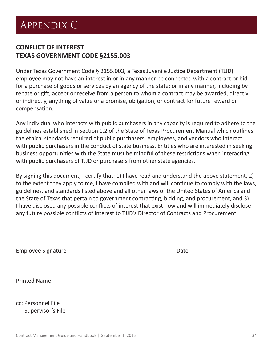#### <span id="page-33-0"></span>**CONFLICT OF INTEREST TEXAS GOVERNMENT CODE §2155.003**

Under Texas Government Code § 2155.003, a Texas Juvenile Justice Department (TJJD) employee may not have an interest in or in any manner be connected with a contract or bid for a purchase of goods or services by an agency of the state; or in any manner, including by rebate or gift, accept or receive from a person to whom a contract may be awarded, directly or indirectly, anything of value or a promise, obligation, or contract for future reward or compensation.

Any individual who interacts with public purchasers in any capacity is required to adhere to the guidelines established in Section 1.2 of the State of Texas Procurement Manual which outlines the ethical standards required of public purchasers, employees, and vendors who interact with public purchasers in the conduct of state business. Entities who are interested in seeking business opportunities with the State must be mindful of these restrictions when interacting with public purchasers of TJJD or purchasers from other state agencies.

By signing this document, I certify that: 1) I have read and understand the above statement, 2) to the extent they apply to me, I have complied with and will continue to comply with the laws, guidelines, and standards listed above and all other laws of the United States of America and the State of Texas that pertain to government contracting, bidding, and procurement, and 3) I have disclosed any possible conflicts of interest that exist now and will immediately disclose any future possible conflicts of interest to TJJD's Director of Contracts and Procurement.

\_\_\_\_\_\_\_\_\_\_\_\_\_\_\_\_\_\_\_\_\_\_\_\_\_\_\_\_\_\_\_\_\_\_\_\_\_\_\_\_\_\_\_\_\_\_ \_\_\_\_\_\_\_\_\_\_\_\_\_\_\_\_\_\_\_\_\_\_\_\_\_\_

| <b>Employee Signature</b> | Date |
|---------------------------|------|
|                           |      |

Printed Name

cc: Personnel File Supervisor's File

\_\_\_\_\_\_\_\_\_\_\_\_\_\_\_\_\_\_\_\_\_\_\_\_\_\_\_\_\_\_\_\_\_\_\_\_\_\_\_\_\_\_\_\_\_\_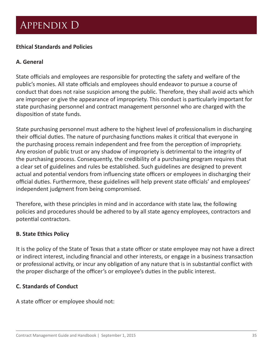### <span id="page-34-0"></span>Appendix D

#### **Ethical Standards and Policies**

#### **A. General**

State officials and employees are responsible for protecting the safety and welfare of the public's monies. All state officials and employees should endeavor to pursue a course of conduct that does not raise suspicion among the public. Therefore, they shall avoid acts which are improper or give the appearance of impropriety. This conduct is particularly important for state purchasing personnel and contract management personnel who are charged with the disposition of state funds.

State purchasing personnel must adhere to the highest level of professionalism in discharging their official duties. The nature of purchasing functions makes it critical that everyone in the purchasing process remain independent and free from the perception of impropriety. Any erosion of public trust or any shadow of impropriety is detrimental to the integrity of the purchasing process. Consequently, the credibility of a purchasing program requires that a clear set of guidelines and rules be established. Such guidelines are designed to prevent actual and potential vendors from influencing state officers or employees in discharging their official duties. Furthermore, these guidelines will help prevent state officials' and employees' independent judgment from being compromised.

Therefore, with these principles in mind and in accordance with state law, the following policies and procedures should be adhered to by all state agency employees, contractors and potential contractors.

#### **B. State Ethics Policy**

It is the policy of the State of Texas that a state officer or state employee may not have a direct or indirect interest, including financial and other interests, or engage in a business transaction or professional activity, or incur any obligation of any nature that is in substantial conflict with the proper discharge of the officer's or employee's duties in the public interest.

#### **C. Standards of Conduct**

A state officer or employee should not: